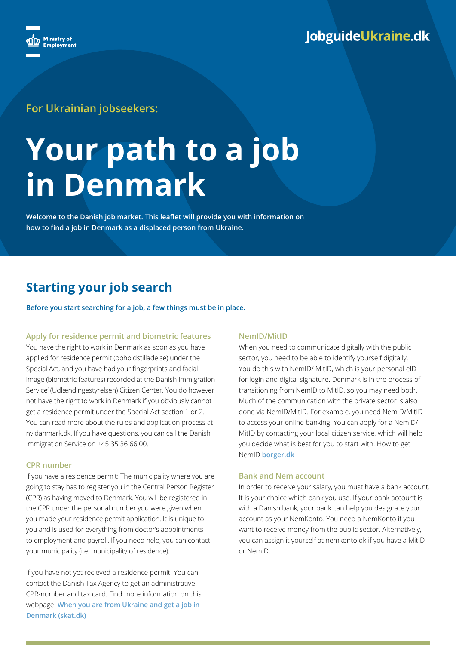

### **For Ukrainian jobseekers:**

# **Your path to a job in Denmark**

**Welcome to the Danish job market. This leaflet will provide you with information on how to find a job in Denmark as a displaced person from Ukraine.** 

## **Starting your job search**

**Before you start searching for a job, a few things must be in place.**

#### **Apply for residence permit and biometric features**

You have the right to work in Denmark as soon as you have applied for residence permit (opholdstilladelse) under the Special Act, and you have had your fingerprints and facial image (biometric features) recorded at the Danish Immigration Service' (Udlændingestyrelsen) Citizen Center. You do however not have the right to work in Denmark if you obviously cannot get a residence permit under the Special Act section 1 or 2. You can read more about the rules and application process at nyidanmark.dk. If you have questions, you can call the Danish Immigration Service on +45 35 36 66 00.

#### **CPR number**

If you have a residence permit: The municipality where you are going to stay has to register you in the Central Person Register (CPR) as having moved to Denmark. You will be registered in the CPR under the personal number you were given when you made your residence permit application. It is unique to you and is used for everything from doctor's appointments to employment and payroll. If you need help, you can contact your municipality (i.e. municipality of residence).

If you have not yet recieved a residence permit: You can contact the Danish Tax Agency to get an administrative CPR-number and tax card. Find more information on this webpage: **[When you are from Ukraine and get a job in](https://skat.dk/data.aspx?oid=2349629&vid=0)  [Denmark \(skat.dk\)](https://skat.dk/data.aspx?oid=2349629&vid=0)**

#### **NemID/MitID**

When you need to communicate digitally with the public sector, you need to be able to identify yourself digitally. You do this with NemID/ MitID, which is your personal eID for login and digital signature. Denmark is in the process of transitioning from NemID to MitID, so you may need both. Much of the communication with the private sector is also done via NemID/MitID. For example, you need NemID/MitID to access your online banking. You can apply for a NemID/ MitID by contacting your local citizen service, which will help you decide what is best for you to start with. How to get NemID **[borger.dk](https://lifeindenmark.borger.dk/apps-and-digital-services/nemid)**

#### **Bank and Nem account**

In order to receive your salary, you must have a bank account. It is your choice which bank you use. If your bank account is with a Danish bank, your bank can help you designate your account as your NemKonto. You need a NemKonto if you want to receive money from the public sector. Alternatively, you can assign it yourself at nemkonto.dk if you have a MitID or NemID.